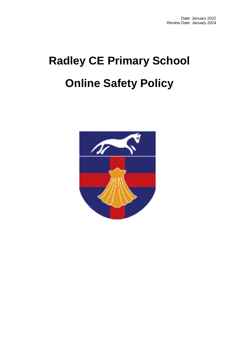# **Radley CE Primary School Online Safety Policy**

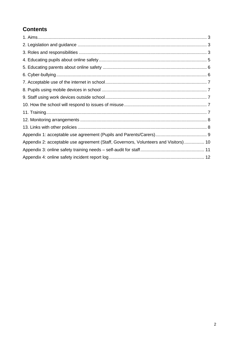# **Contents**

| Appendix 2: acceptable use agreement (Staff, Governors, Volunteers and Visitors) 10 |  |
|-------------------------------------------------------------------------------------|--|
|                                                                                     |  |
|                                                                                     |  |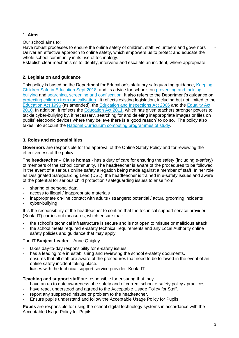#### **1. Aims**

Our school aims to:

Have robust processes to ensure the online safety of children, staff, volunteers and governors Deliver an effective approach to online safety, which empowers us to protect and educate the whole school community in its use of technology.

Establish clear mechanisms to identify, intervene and escalate an incident, where appropriate

#### **2. Legislation and guidance**

This policy is based on the Department for Education's statutory safeguarding guidance, Keeping [Children Safe in Education](https://www.gov.uk/government/publications/keeping-children-safe-in-education--2) Sept 2018, and its advice for schools on [preventing and tackling](https://www.gov.uk/government/publications/preventing-and-tackling-bullying)  [bullying](https://www.gov.uk/government/publications/preventing-and-tackling-bullying) and [searching, screening and confiscation.](https://www.gov.uk/government/publications/searching-screening-and-confiscation) It also refers to the Department's guidance on protecting children [from radicalisation.](https://www.gov.uk/government/publications/protecting-children-from-radicalisation-the-prevent-duty) It reflects existing legislation, including but not limited to the [Education Act 1996](https://www.legislation.gov.uk/ukpga/1996/56/contents) (as amended), the [Education and Inspections Act 2006](https://www.legislation.gov.uk/ukpga/2006/40/contents) and the [Equality Act](https://www.legislation.gov.uk/ukpga/2010/15/contents)  [2010.](https://www.legislation.gov.uk/ukpga/2010/15/contents) In addition, it reflects the [Education Act 2011,](http://www.legislation.gov.uk/ukpga/2011/21/contents/enacted) which has given teachers stronger powers to tackle cyber-bullying by, if necessary, searching for and deleting inappropriate images or files on pupils' electronic devices where they believe there is a 'good reason' to do so. The policy also takes into account the [National Curriculum computing programmes of study.](https://www.gov.uk/government/publications/national-curriculum-in-england-computing-programmes-of-study)

#### **3. Roles and responsibilities**

**Governors** are responsible for the approval of the Online Safety Policy and for reviewing the effectiveness of the policy.

The **headteacher** – **Claire homas** - has a duty of care for ensuring the safety (including e-safety) of members of the school community. The headteacher is aware of the procedures to be followed in the event of a serious online safety allegation being made against a member of staff. In her role as Designated Safeguarding Lead (DSL), the headteacher is trained in e-safety issues and aware of the potential for serious child protection / safeguarding issues to arise from:

- sharing of personal data
- access to illegal / inappropriate materials
- inappropriate on-line contact with adults / strangers; potential / actual grooming incidents
- cyber-bullying

It is the responsibility of the headteacher to confirm that the technical support service provider (Koala IT) carries out measures, which ensure that:

- the school's technical infrastructure is secure and is not open to misuse or malicious attack.
- the school meets required e-safety technical requirements and any Local Authority online safety policies and guidance that may apply.

#### The **IT Subject Leader** – Anne Quigley

- takes day-to-day responsibility for e-safety issues.
- has a leading role in establishing and reviewing the school e-safety documents.
- ensures that all staff are aware of the procedures that need to be followed in the event of an online safety incident taking place.
- liaises with the technical support service provider: Koala IT.

#### **Teaching and support staff** are responsible for ensuring that they

- have an up to date awareness of e-safety and of current school e-safety policy / practices.
- have read, understood and agreed to the Acceptable Usage Policy for Staff.
- report any suspected misuse or problem to the headteacher.
- Ensure pupils understand and follow the Acceptable Usage Policy for Pupils

**Pupils** are responsible for using the school digital technology systems in accordance with the Acceptable Usage Policy for Pupils.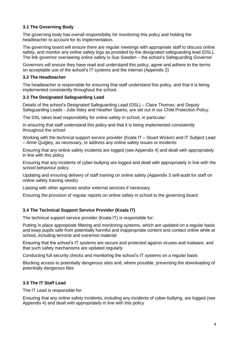#### **3.1 The Governing Body**

The governing body has overall responsibility for monitoring this policy and holding the headteacher to account for its implementation.

The governing board will ensure there are regular meetings with appropriate staff to discuss online safety, and monitor any online safety logs as provided by the designated safeguarding lead (DSL). The link governor overseeing online safety is Sue Sowden – the school's Safeguarding Governor

Governors will ensure they have read and understand this policy, agree and adhere to the terms on acceptable use of the school's IT systems and the internet (Appendix 2)

#### **3.2 The Headteacher**

The headteacher is responsible for ensuring that staff understand this policy, and that it is being implemented consistently throughout the school.

#### **3.3 The Designated Safeguarding Lead**

Details of the school's Designated Safeguarding Lead (DSL) – Claire Thomas; and Deputy Safeguarding Leads - Julie Ilsley and Heather Sparks, are set out in our Child Protection Policy.

The DSL takes lead responsibility for online safety in school, in particular:

In ensuring that staff understand this policy and that it is being implemented consistently throughout the school

Working with the technical support service provider (Koala IT – Stuart Wicker) and IT Subject Lead – Anne Quigley, as necessary, to address any online safety issues or incidents

Ensuring that any online safety incidents are logged (see Appendix 4) and dealt with appropriately in line with this policy

Ensuring that any incidents of cyber-bullying are logged and dealt with appropriately in line with the school behaviour policy

Updating and ensuring delivery of staff training on online safety (Appendix 3 self-audit for staff on online safety training needs)

Liaising with other agencies and/or external services if necessary

Ensuring the provision of regular reports on online safety in school to the governing board

#### **3.4 The Technical Support Service Provider (Koala IT)**

The technical support service provider (Koala IT) is responsible for:

Putting in place appropriate filtering and monitoring systems, which are updated on a regular basis and keep pupils safe from potentially harmful and inappropriate content and contact online while at school, including terrorist and extremist material

Ensuring that the school's IT systems are secure and protected against viruses and malware, and that such safety mechanisms are updated regularly

Conducting full security checks and monitoring the school's IT systems on a regular basis

Blocking access to potentially dangerous sites and, where possible, preventing the downloading of potentially dangerous files

#### **3.5 The IT Staff Lead**

The IT Lead is responsible for:

Ensuring that any online safety incidents, including any incidents of cyber-bullying, are logged (see Appendix 4) and dealt with appropriately in line with this policy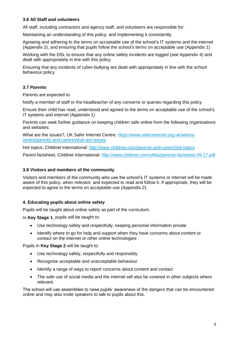#### **3.6 All Staff and volunteers**

All staff, including contractors and agency staff, and volunteers are responsible for:

Maintaining an understanding of this policy, and implementing it consistently.

Agreeing and adhering to the terms on acceptable use of the school's IT systems and the internet (Appendix 2), and ensuring that pupils follow the school's terms on acceptable use (Appendix 1)

Working with the DSL to ensure that any online safety incidents are logged (see Appendix 4) and dealt with appropriately in line with this policy

Ensuring that any incidents of cyber-bullying are dealt with appropriately in line with the school behaviour policy

#### **3.7 Parents**

Parents are expected to:

Notify a member of staff or the headteacher of any concerns or queries regarding this policy

Ensure their child has read, understood and agreed to the terms on acceptable use of the school's IT systems and internet (Appendix 1)

Parents can seek further guidance on keeping children safe online from the following organisations and websites:

What are the issues?, UK Safer Internet Centre: [https://www.saferinternet.org.uk/advice](https://www.saferinternet.org.uk/advice-centre/parents-and-carers/what-are-issues)[centre/parents-and-carers/what-are-issues](https://www.saferinternet.org.uk/advice-centre/parents-and-carers/what-are-issues)

Hot topics, Childnet International:<http://www.childnet.com/parents-and-carers/hot-topics>

Parent factsheet, Childnet International:<http://www.childnet.com/ufiles/parents-factsheet-09-17.pdf>

#### **3.8 Visitors and members of the community**

Visitors and members of the community who use the school's IT systems or internet will be made aware of this policy, when relevant, and expected to read and follow it. If appropriate, they will be expected to agree to the terms on acceptable use (Appendix 2).

#### **4. Educating pupils about online safety**

Pupils will be taught about online safety as part of the curriculum.

In **Key Stage 1**, pupils will be taught to:

- Use technology safely and respectfully, keeping personal information private
- Identify where to go for help and support when they have concerns about content or contact on the internet or other online technologies

Pupils in **Key Stage 2** will be taught to:

- Use technology safely, respectfully and responsibly
- Recognise acceptable and unacceptable behaviour
- Identify a range of ways to report concerns about content and contact
- The safe use of social media and the internet will also be covered in other subjects where relevant.

The school will use assemblies to raise pupils' awareness of the dangers that can be encountered online and may also invite speakers to talk to pupils about this.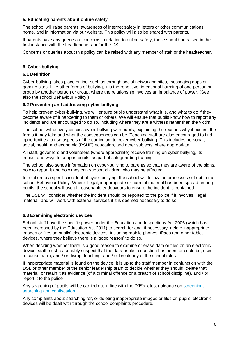#### **5. Educating parents about online safety**

The school will raise parents' awareness of internet safety in letters or other communications home, and in information via our website. This policy will also be shared with parents.

If parents have any queries or concerns in relation to online safety, these should be raised in the first instance with the headteacher and/or the DSL.

Concerns or queries about this policy can be raised with any member of staff or the headteacher.

#### **6. Cyber-bullying**

#### **6.1 Definition**

Cyber-bullying takes place online, such as through social networking sites, messaging apps or gaming sites. Like other forms of bullying, it is the repetitive, intentional harming of one person or group by another person or group, where the relationship involves an imbalance of power. (See also the school Behaviour Policy.)

#### **6.2 Preventing and addressing cyber-bullying**

To help prevent cyber-bullying, we will ensure pupils understand what it is, and what to do if they become aware of it happening to them or others. We will ensure that pupils know how to report any incidents and are encouraged to do so, including where they are a witness rather than the victim.

The school will actively discuss cyber-bullying with pupils, explaining the reasons why it occurs, the forms it may take and what the consequences can be. Teaching staff are also encouraged to find opportunities to use aspects of the curriculum to cover cyber-bullying. This includes personal, social, health and economic (PSHE) education, and other subjects where appropriate.

All staff, governors and volunteers (where appropriate) receive training on cyber-bullying, its impact and ways to support pupils, as part of safeguarding training

The school also sends information on cyber-bullying to parents so that they are aware of the signs, how to report it and how they can support children who may be affected.

In relation to a specific incident of cyber-bullying, the school will follow the processes set out in the school Behaviour Policy. Where illegal, inappropriate or harmful material has been spread among pupils, the school will use all reasonable endeavours to ensure the incident is contained.

The DSL will consider whether the incident should be reported to the police if it involves illegal material, and will work with external services if it is deemed necessary to do so.

#### **6.3 Examining electronic devices**

School staff have the specific power under the Education and Inspections Act 2006 (which has been increased by the Education Act 2011) to search for and, if necessary, delete inappropriate images or files on pupils' electronic devices, including mobile phones, iPads and other tablet devices, where they believe there is a 'good reason' to do so.

When deciding whether there is a good reason to examine or erase data or files on an electronic device, staff must reasonably suspect that the data or file in question has been, or could be, used to cause harm, and / or disrupt teaching, and / or break any of the school rules

If inappropriate material is found on the device, it is up to the staff member in conjunction with the DSL or other member of the senior leadership team to decide whether they should: delete that material, or retain it as evidence (of a criminal offence or a breach of school discipline), and / or report it to the police

Any searching of pupils will be carried out in line with the DfE's latest guidance on [screening,](https://www.gov.uk/government/publications/searching-screening-and-confiscation)  [searching and confiscation.](https://www.gov.uk/government/publications/searching-screening-and-confiscation)

Any complaints about searching for, or deleting inappropriate images or files on pupils' electronic devices will be dealt with through the school complaints procedure.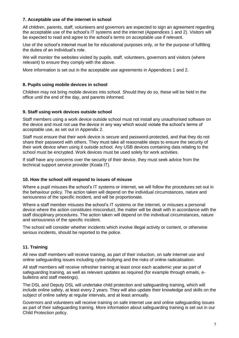#### **7. Acceptable use of the internet in school**

All children, parents, staff, volunteers and governors are expected to sign an agreement regarding the acceptable use of the school's IT systems and the internet (Appendices 1 and 2). Visitors will be expected to read and agree to the school's terms on acceptable use if relevant.

Use of the school's internet must be for educational purposes only, or for the purpose of fulfilling the duties of an individual's role.

We will monitor the websites visited by pupils, staff, volunteers, governors and visitors (where relevant) to ensure they comply with the above.

More information is set out in the acceptable use agreements in Appendices 1 and 2.

#### **8. Pupils using mobile devices in school**

Children may not bring mobile devices into school. Should they do so, these will be held in the office until the end of the day, and parents informed.

#### **9. Staff using work devices outside school**

Staff members using a work device outside school must not install any unauthorised software on the device and must not use the device in any way which would violate the school's terms of acceptable use, as set out in Appendix 2.

Staff must ensure that their work device is secure and password-protected, and that they do not share their password with others. They must take all reasonable steps to ensure the security of their work device when using it outside school. Any USB devices containing data relating to the school must be encrypted. Work devices must be used solely for work activities.

If staff have any concerns over the security of their device, they must seek advice from the technical support service provider (Koala IT).

#### **10. How the school will respond to issues of misuse**

Where a pupil misuses the school's IT systems or internet, we will follow the procedures set out in the behaviour policy. The action taken will depend on the individual circumstances, nature and seriousness of the specific incident, and will be proportionate.

Where a staff member misuses the school's IT systems or the internet, or misuses a personal device where the action constitutes misconduct, the matter will be dealt with in accordance with the staff disciplinary procedures. The action taken will depend on the individual circumstances, nature and seriousness of the specific incident.

The school will consider whether incidents which involve illegal activity or content, or otherwise serious incidents, should be reported to the police.

#### **11. Training**

All new staff members will receive training, as part of their induction, on safe internet use and online safeguarding issues including cyber-bullying and the risks of online radicalisation.

All staff members will receive refresher training at least once each academic year as part of safeguarding training, as well as relevant updates as required (for example through emails, ebulletins and staff meetings).

The DSL and Deputy DSL will undertake child protection and safeguarding training, which will include online safety, at least every 2 years. They will also update their knowledge and skills on the subject of online safety at regular intervals, and at least annually.

Governors and volunteers will receive training on safe internet use and online safeguarding issues as part of their safeguarding training. More information about safeguarding training is set out in our Child Protection policy.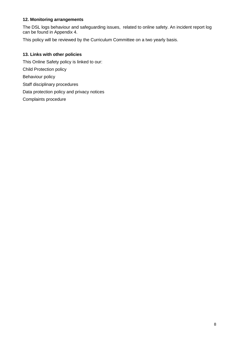#### **12. Monitoring arrangements**

The DSL logs behaviour and safeguarding issues, related to online safety. An incident report log can be found in Appendix 4.

This policy will be reviewed by the Curriculum Committee on a two yearly basis.

#### **13. Links with other policies**

This Online Safety policy is linked to our: Child Protection policy Behaviour policy Staff disciplinary procedures Data protection policy and privacy notices Complaints procedure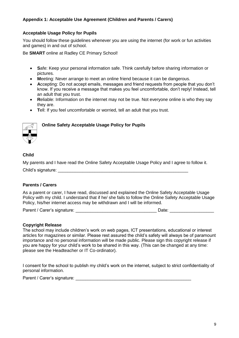#### **Appendix 1: Acceptable Use Agreement (Children and Parents / Carers)**

#### **Acceptable Usage Policy for Pupils**

You should follow these guidelines whenever you are using the internet (for work or fun activities and games) in and out of school.

Be **SMART** online at Radley CE Primary School!

- **S**afe: Keep your personal information safe. Think carefully before sharing information or pictures.
- **M**eeting: Never arrange to meet an online friend because it can be dangerous.
- **A**ccepting: Do not accept emails, messages and friend requests from people that you don't know. If you receive a message that makes you feel uncomfortable, don't reply! Instead, tell an adult that you trust.
- **R**eliable: Information on the internet may not be true. Not everyone online is who they say they are.
- **T**ell: If you feel uncomfortable or worried, tell an adult that you trust.



#### **Online Safety Acceptable Usage Policy for Pupils**

#### **Child**

My parents and I have read the Online Safety Acceptable Usage Policy and I agree to follow it. Child's signature:

#### **Parents / Carers**

As a parent or carer, I have read, discussed and explained the Online Safety Acceptable Usage Policy with my child. I understand that if he/ she fails to follow the Online Safety Acceptable Usage Policy, his/her internet access may be withdrawn and I will be informed.

Parent / Carer's signature: etc. and the state of the Date: contract of the Date: contract of the Date: contract of the Date: contract of the Date: contract of the Date: contract of the Date: contract of the Date: contract

#### **Copyright Release**

The school may include children's work on web pages, ICT presentations, educational or interest articles for magazines or similar. Please rest assured the child's safety will always be of paramount importance and no personal information will be made public. Please sign this copyright release if you are happy for your child's work to be shared in this way. (This can be changed at any time: please see the Headteacher or IT Co-ordinator).

I consent for the school to publish my child's work on the internet, subject to strict confidentiality of personal information.

Parent / Carer's signature: **Example 2018**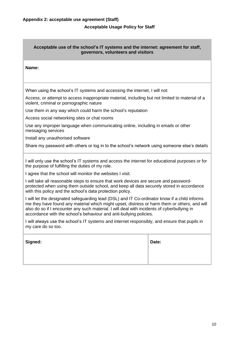#### **Acceptable Usage Policy for Staff**

# **Acceptable use of the school's IT systems and the internet: agreement for staff, governors, volunteers and visitors Name:**  When using the school's IT systems and accessing the internet, I will not: Access, or attempt to access inappropriate material, including but not limited to material of a violent, criminal or pornographic nature Use them in any way which could harm the school's reputation Access social networking sites or chat rooms Use any improper language when communicating online, including in emails or other messaging services Install any unauthorised software Share my password with others or log in to the school's network using someone else's details I will only use the school's IT systems and access the internet for educational purposes or for the purpose of fulfilling the duties of my role. I agree that the school will monitor the websites I visit. I will take all reasonable steps to ensure that work devices are secure and passwordprotected when using them outside school, and keep all data securely stored in accordance with this policy and the school's data protection policy. I will let the designated safeguarding lead (DSL) and IT Co-ordinator know if a child informs me they have found any material which might upset, distress or harm them or others, and will also do so if I encounter any such material. I will deal with incidents of cyberbullying in accordance with the school's behaviour and anti-bullying policies. I will always use the school's IT systems and internet responsibly, and ensure that pupils in my care do so too. **Signed: Date:**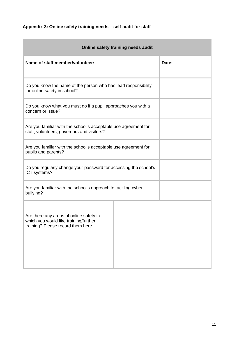# **Appendix 3: Online safety training needs – self-audit for staff**

**State State** 

| Online safety training needs audit                                                                                     |       |  |  |  |  |  |
|------------------------------------------------------------------------------------------------------------------------|-------|--|--|--|--|--|
| Name of staff member/volunteer:                                                                                        | Date: |  |  |  |  |  |
| Do you know the name of the person who has lead responsibility<br>for online safety in school?                         |       |  |  |  |  |  |
| Do you know what you must do if a pupil approaches you with a<br>concern or issue?                                     |       |  |  |  |  |  |
| Are you familiar with the school's acceptable use agreement for<br>staff, volunteers, governors and visitors?          |       |  |  |  |  |  |
| Are you familiar with the school's acceptable use agreement for<br>pupils and parents?                                 |       |  |  |  |  |  |
| Do you regularly change your password for accessing the school's<br>ICT systems?                                       |       |  |  |  |  |  |
| Are you familiar with the school's approach to tackling cyber-<br>bullying?                                            |       |  |  |  |  |  |
| Are there any areas of online safety in<br>which you would like training/further<br>training? Please record them here. |       |  |  |  |  |  |